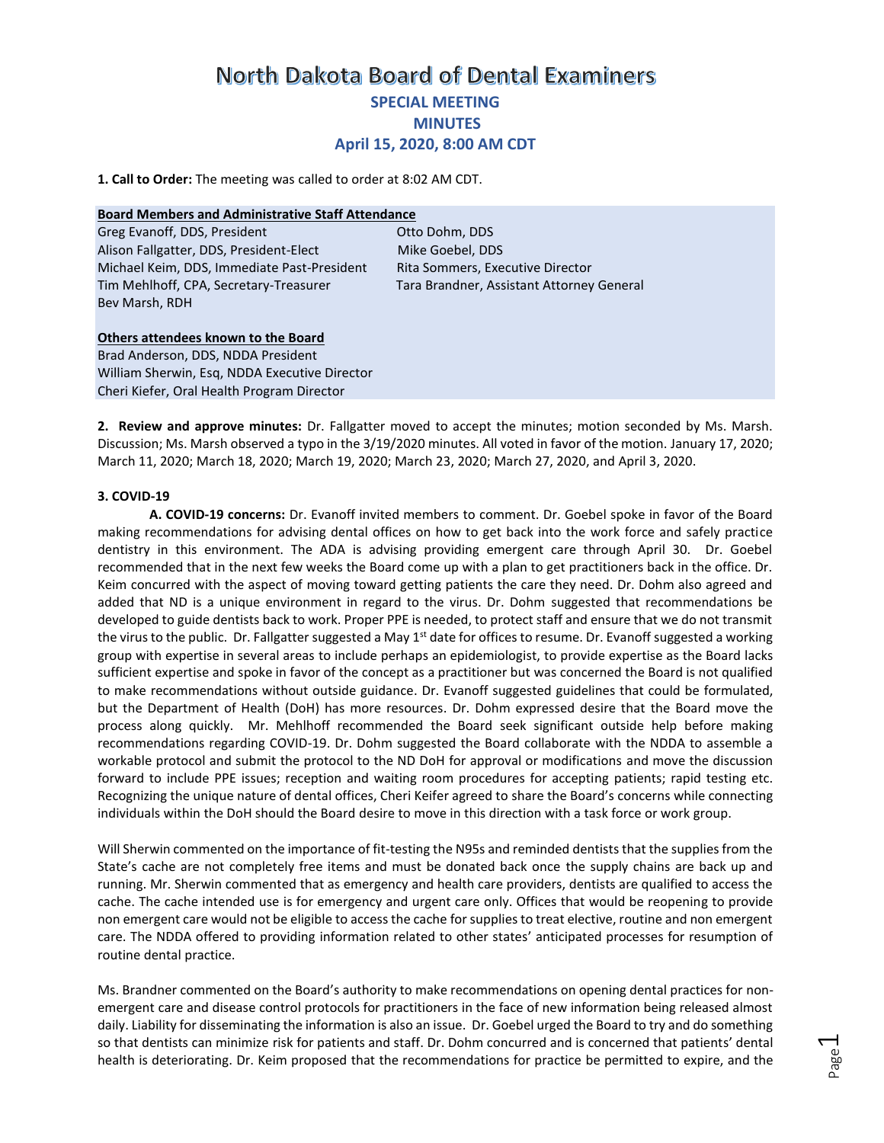## **North Dakota Board of Dental Examiners SPECIAL MEETING MINUTES April 15, 2020, 8:00 AM CDT**

**1. Call to Order:** The meeting was called to order at 8:02 AM CDT.

## **Board Members and Administrative Staff Attendance**

Greg Evanoff, DDS, President Christian Corp. 2010 Otto Dohm, DDS Alison Fallgatter, DDS, President-Elect Mike Goebel, DDS Michael Keim, DDS, Immediate Past-President Rita Sommers, Executive Director Tim Mehlhoff, CPA, Secretary-Treasurer Tara Brandner, Assistant Attorney General Bev Marsh, RDH

**Others attendees known to the Board** Brad Anderson, DDS, NDDA President William Sherwin, Esq, NDDA Executive Director Cheri Kiefer, Oral Health Program Director

**2. Review and approve minutes:** Dr. Fallgatter moved to accept the minutes; motion seconded by Ms. Marsh. Discussion; Ms. Marsh observed a typo in the 3/19/2020 minutes. All voted in favor of the motion. January 17, 2020; March 11, 2020; March 18, 2020; March 19, 2020; March 23, 2020; March 27, 2020, and April 3, 2020.

## **3. COVID-19**

**A. COVID-19 concerns:** Dr. Evanoff invited members to comment. Dr. Goebel spoke in favor of the Board making recommendations for advising dental offices on how to get back into the work force and safely practice dentistry in this environment. The ADA is advising providing emergent care through April 30. Dr. Goebel recommended that in the next few weeks the Board come up with a plan to get practitioners back in the office. Dr. Keim concurred with the aspect of moving toward getting patients the care they need. Dr. Dohm also agreed and added that ND is a unique environment in regard to the virus. Dr. Dohm suggested that recommendations be developed to guide dentists back to work. Proper PPE is needed, to protect staff and ensure that we do not transmit the virus to the public. Dr. Fallgatter suggested a May  $1^{st}$  date for offices to resume. Dr. Evanoff suggested a working group with expertise in several areas to include perhaps an epidemiologist, to provide expertise as the Board lacks sufficient expertise and spoke in favor of the concept as a practitioner but was concerned the Board is not qualified to make recommendations without outside guidance. Dr. Evanoff suggested guidelines that could be formulated, but the Department of Health (DoH) has more resources. Dr. Dohm expressed desire that the Board move the process along quickly. Mr. Mehlhoff recommended the Board seek significant outside help before making recommendations regarding COVID-19. Dr. Dohm suggested the Board collaborate with the NDDA to assemble a workable protocol and submit the protocol to the ND DoH for approval or modifications and move the discussion forward to include PPE issues; reception and waiting room procedures for accepting patients; rapid testing etc. Recognizing the unique nature of dental offices, Cheri Keifer agreed to share the Board's concerns while connecting individuals within the DoH should the Board desire to move in this direction with a task force or work group.

Will Sherwin commented on the importance of fit-testing the N95s and reminded dentists that the supplies from the State's cache are not completely free items and must be donated back once the supply chains are back up and running. Mr. Sherwin commented that as emergency and health care providers, dentists are qualified to access the cache. The cache intended use is for emergency and urgent care only. Offices that would be reopening to provide non emergent care would not be eligible to access the cache for supplies to treat elective, routine and non emergent care. The NDDA offered to providing information related to other states' anticipated processes for resumption of routine dental practice.

Ms. Brandner commented on the Board's authority to make recommendations on opening dental practices for nonemergent care and disease control protocols for practitioners in the face of new information being released almost daily. Liability for disseminating the information is also an issue. Dr. Goebel urged the Board to try and do something so that dentists can minimize risk for patients and staff. Dr. Dohm concurred and is concerned that patients' dental health is deteriorating. Dr. Keim proposed that the recommendations for practice be permitted to expire, and the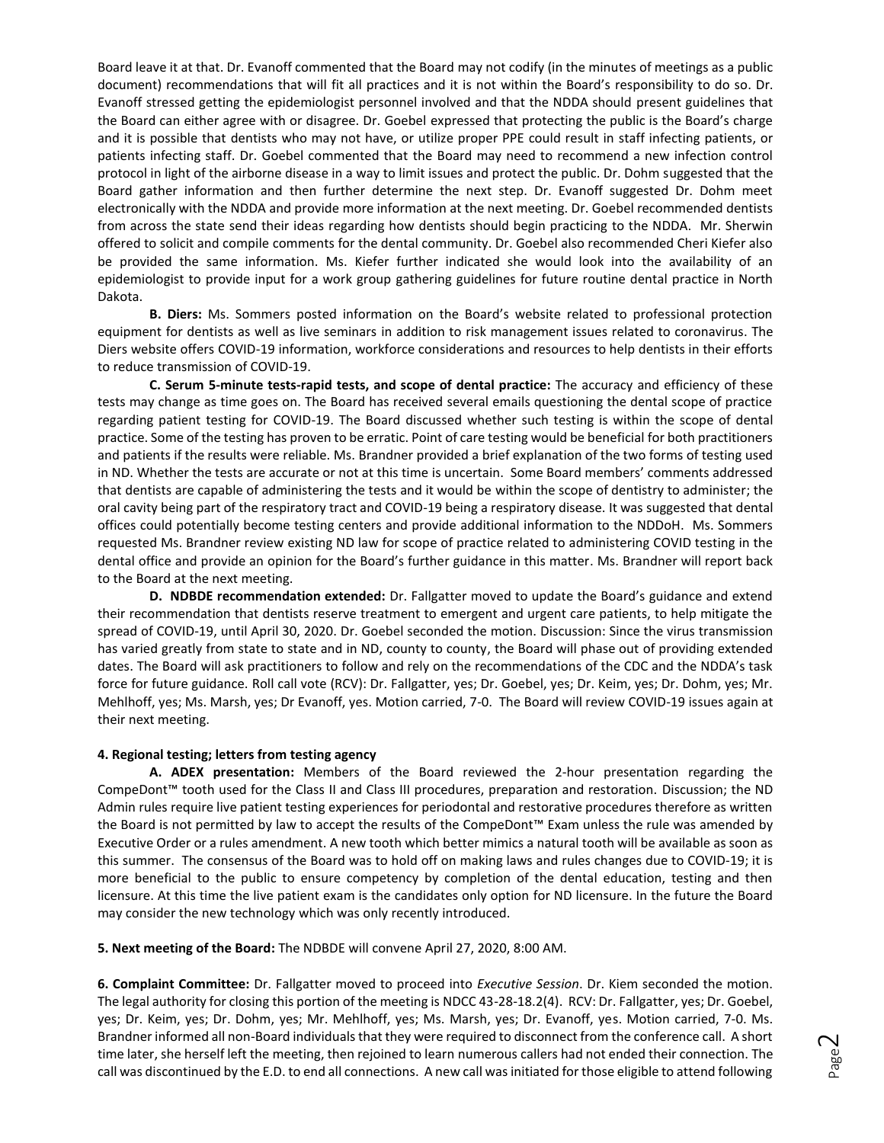Board leave it at that. Dr. Evanoff commented that the Board may not codify (in the minutes of meetings as a public document) recommendations that will fit all practices and it is not within the Board's responsibility to do so. Dr. Evanoff stressed getting the epidemiologist personnel involved and that the NDDA should present guidelines that the Board can either agree with or disagree. Dr. Goebel expressed that protecting the public is the Board's charge and it is possible that dentists who may not have, or utilize proper PPE could result in staff infecting patients, or patients infecting staff. Dr. Goebel commented that the Board may need to recommend a new infection control protocol in light of the airborne disease in a way to limit issues and protect the public. Dr. Dohm suggested that the Board gather information and then further determine the next step. Dr. Evanoff suggested Dr. Dohm meet electronically with the NDDA and provide more information at the next meeting. Dr. Goebel recommended dentists from across the state send their ideas regarding how dentists should begin practicing to the NDDA. Mr. Sherwin offered to solicit and compile comments for the dental community. Dr. Goebel also recommended Cheri Kiefer also be provided the same information. Ms. Kiefer further indicated she would look into the availability of an epidemiologist to provide input for a work group gathering guidelines for future routine dental practice in North Dakota.

**B. Diers:** Ms. Sommers posted information on the Board's website related to professional protection equipment for dentists as well as live seminars in addition to risk management issues related to coronavirus. The Diers website offers COVID-19 information, workforce considerations and resources to help dentists in their efforts to reduce transmission of COVID-19.

**C. Serum 5-minute tests-rapid tests, and scope of dental practice:** The accuracy and efficiency of these tests may change as time goes on. The Board has received several emails questioning the dental scope of practice regarding patient testing for COVID-19. The Board discussed whether such testing is within the scope of dental practice. Some of the testing has proven to be erratic. Point of care testing would be beneficial for both practitioners and patients if the results were reliable. Ms. Brandner provided a brief explanation of the two forms of testing used in ND. Whether the tests are accurate or not at this time is uncertain. Some Board members' comments addressed that dentists are capable of administering the tests and it would be within the scope of dentistry to administer; the oral cavity being part of the respiratory tract and COVID-19 being a respiratory disease. It was suggested that dental offices could potentially become testing centers and provide additional information to the NDDoH. Ms. Sommers requested Ms. Brandner review existing ND law for scope of practice related to administering COVID testing in the dental office and provide an opinion for the Board's further guidance in this matter. Ms. Brandner will report back to the Board at the next meeting.

**D. NDBDE recommendation extended:** Dr. Fallgatter moved to update the Board's guidance and extend their recommendation that dentists reserve treatment to emergent and urgent care patients, to help mitigate the spread of COVID-19, until April 30, 2020. Dr. Goebel seconded the motion. Discussion: Since the virus transmission has varied greatly from state to state and in ND, county to county, the Board will phase out of providing extended dates. The Board will ask practitioners to follow and rely on the recommendations of the CDC and the NDDA's task force for future guidance. Roll call vote (RCV): Dr. Fallgatter, yes; Dr. Goebel, yes; Dr. Keim, yes; Dr. Dohm, yes; Mr. Mehlhoff, yes; Ms. Marsh, yes; Dr Evanoff, yes. Motion carried, 7-0. The Board will review COVID-19 issues again at their next meeting.

## **4. Regional testing; letters from testing agency**

**A. ADEX presentation:** Members of the Board reviewed the 2-hour presentation regarding the CompeDont™ tooth used for the Class II and Class III procedures, preparation and restoration. Discussion; the ND Admin rules require live patient testing experiences for periodontal and restorative procedures therefore as written the Board is not permitted by law to accept the results of the CompeDont™ Exam unless the rule was amended by Executive Order or a rules amendment. A new tooth which better mimics a natural tooth will be available as soon as this summer. The consensus of the Board was to hold off on making laws and rules changes due to COVID-19; it is more beneficial to the public to ensure competency by completion of the dental education, testing and then licensure. At this time the live patient exam is the candidates only option for ND licensure. In the future the Board may consider the new technology which was only recently introduced.

**5. Next meeting of the Board:** The NDBDE will convene April 27, 2020, 8:00 AM.

**6. Complaint Committee:** Dr. Fallgatter moved to proceed into *Executive Session*. Dr. Kiem seconded the motion. The legal authority for closing this portion of the meeting is NDCC 43-28-18.2(4). RCV: Dr. Fallgatter, yes; Dr. Goebel, yes; Dr. Keim, yes; Dr. Dohm, yes; Mr. Mehlhoff, yes; Ms. Marsh, yes; Dr. Evanoff, yes. Motion carried, 7-0. Ms. Brandner informed all non-Board individuals that they were required to disconnect from the conference call. A short time later, she herself left the meeting, then rejoined to learn numerous callers had not ended their connection. The call was discontinued by the E.D. to end all connections. A new call was initiated for those eligible to attend following